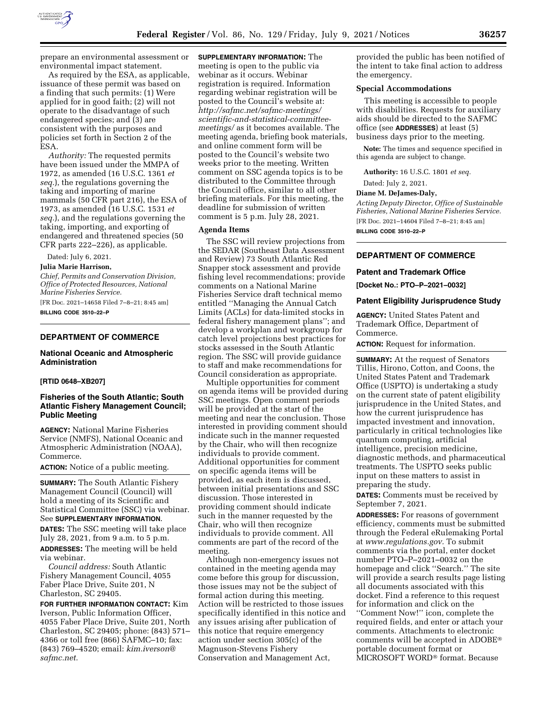

prepare an environmental assessment or environmental impact statement.

As required by the ESA, as applicable, issuance of these permit was based on a finding that such permits: (1) Were applied for in good faith; (2) will not operate to the disadvantage of such endangered species; and (3) are consistent with the purposes and policies set forth in Section 2 of the ESA.

*Authority:* The requested permits have been issued under the MMPA of 1972, as amended (16 U.S.C. 1361 *et seq.*), the regulations governing the taking and importing of marine mammals (50 CFR part 216), the ESA of 1973, as amended (16 U.S.C. 1531 *et seq.*), and the regulations governing the taking, importing, and exporting of endangered and threatened species (50 CFR parts 222–226), as applicable.

Dated: July 6, 2021.

### **Julia Marie Harrison,**

*Chief, Permits and Conservation Division, Office of Protected Resources, National Marine Fisheries Service.* 

[FR Doc. 2021–14658 Filed 7–8–21; 8:45 am] **BILLING CODE 3510–22–P** 

# **DEPARTMENT OF COMMERCE**

# **National Oceanic and Atmospheric Administration**

# **[RTID 0648–XB207]**

# **Fisheries of the South Atlantic; South Atlantic Fishery Management Council; Public Meeting**

**AGENCY:** National Marine Fisheries Service (NMFS), National Oceanic and Atmospheric Administration (NOAA), Commerce.

**ACTION:** Notice of a public meeting.

**SUMMARY:** The South Atlantic Fishery Management Council (Council) will hold a meeting of its Scientific and Statistical Committee (SSC) via webinar. See **SUPPLEMENTARY INFORMATION**.

**DATES:** The SSC meeting will take place July 28, 2021, from 9 a.m. to 5 p.m. **ADDRESSES:** The meeting will be held via webinar.

*Council address:* South Atlantic Fishery Management Council, 4055 Faber Place Drive, Suite 201, N Charleston, SC 29405.

**FOR FURTHER INFORMATION CONTACT:** Kim Iverson, Public Information Officer, 4055 Faber Place Drive, Suite 201, North Charleston, SC 29405; phone: (843) 571– 4366 or toll free (866) SAFMC–10; fax: (843) 769–4520; email: *[kim.iverson@](mailto:kim.iverson@safmc.net) [safmc.net.](mailto:kim.iverson@safmc.net)* 

**SUPPLEMENTARY INFORMATION:** The meeting is open to the public via webinar as it occurs. Webinar registration is required. Information regarding webinar registration will be posted to the Council's website at: *[http://safmc.net/safmc-meetings/](http://safmc.net/safmc-meetings/scientific-and-statistical-committee-meetings/)  [scientific-and-statistical-committee](http://safmc.net/safmc-meetings/scientific-and-statistical-committee-meetings/)[meetings/](http://safmc.net/safmc-meetings/scientific-and-statistical-committee-meetings/)* as it becomes available. The meeting agenda, briefing book materials, and online comment form will be posted to the Council's website two weeks prior to the meeting. Written comment on SSC agenda topics is to be distributed to the Committee through the Council office, similar to all other briefing materials. For this meeting, the deadline for submission of written comment is 5 p.m. July 28, 2021.

#### **Agenda Items**

The SSC will review projections from the SEDAR (Southeast Data Assessment and Review) 73 South Atlantic Red Snapper stock assessment and provide fishing level recommendations; provide comments on a National Marine Fisheries Service draft technical memo entitled ''Managing the Annual Catch Limits (ACLs) for data-limited stocks in federal fishery management plans''; and develop a workplan and workgroup for catch level projections best practices for stocks assessed in the South Atlantic region. The SSC will provide guidance to staff and make recommendations for Council consideration as appropriate.

Multiple opportunities for comment on agenda items will be provided during SSC meetings. Open comment periods will be provided at the start of the meeting and near the conclusion. Those interested in providing comment should indicate such in the manner requested by the Chair, who will then recognize individuals to provide comment. Additional opportunities for comment on specific agenda items will be provided, as each item is discussed, between initial presentations and SSC discussion. Those interested in providing comment should indicate such in the manner requested by the Chair, who will then recognize individuals to provide comment. All comments are part of the record of the meeting.

Although non-emergency issues not contained in the meeting agenda may come before this group for discussion, those issues may not be the subject of formal action during this meeting. Action will be restricted to those issues specifically identified in this notice and any issues arising after publication of this notice that require emergency action under section 305(c) of the Magnuson-Stevens Fishery Conservation and Management Act,

provided the public has been notified of the intent to take final action to address the emergency.

### **Special Accommodations**

This meeting is accessible to people with disabilities. Requests for auxiliary aids should be directed to the SAFMC office (see **ADDRESSES**) at least (5) business days prior to the meeting.

**Note:** The times and sequence specified in this agenda are subject to change.

**Authority:** 16 U.S.C. 1801 *et seq.* 

Dated: July 2, 2021.

#### **Diane M. DeJames-Daly,**

*Acting Deputy Director, Office of Sustainable Fisheries, National Marine Fisheries Service.*  [FR Doc. 2021–14604 Filed 7–8–21; 8:45 am] **BILLING CODE 3510–22–P** 

# **DEPARTMENT OF COMMERCE**

#### **Patent and Trademark Office**

**[Docket No.: PTO–P–2021–0032]** 

### **Patent Eligibility Jurisprudence Study**

**AGENCY:** United States Patent and Trademark Office, Department of Commerce.

**ACTION:** Request for information.

**SUMMARY:** At the request of Senators Tillis, Hirono, Cotton, and Coons, the United States Patent and Trademark Office (USPTO) is undertaking a study on the current state of patent eligibility jurisprudence in the United States, and how the current jurisprudence has impacted investment and innovation, particularly in critical technologies like quantum computing, artificial intelligence, precision medicine, diagnostic methods, and pharmaceutical treatments. The USPTO seeks public input on these matters to assist in preparing the study.

**DATES:** Comments must be received by September 7, 2021.

**ADDRESSES:** For reasons of government efficiency, comments must be submitted through the Federal eRulemaking Portal at *[www.regulations.gov.](http://www.regulations.gov)* To submit comments via the portal, enter docket number PTO–P–2021–0032 on the homepage and click ''Search.'' The site will provide a search results page listing all documents associated with this docket. Find a reference to this request for information and click on the ''Comment Now!'' icon, complete the required fields, and enter or attach your comments. Attachments to electronic comments will be accepted in ADOBE® portable document format or MICROSOFT WORD® format. Because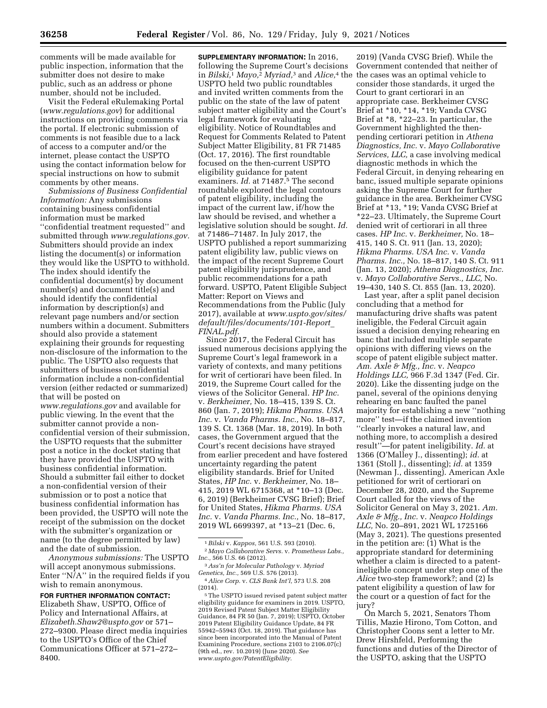comments will be made available for public inspection, information that the submitter does not desire to make public, such as an address or phone number, should not be included.

Visit the Federal eRulemaking Portal (*[www.regulations.gov](http://www.regulations.gov)*) for additional instructions on providing comments via the portal. If electronic submission of comments is not feasible due to a lack of access to a computer and/or the internet, please contact the USPTO using the contact information below for special instructions on how to submit comments by other means.

*Submissions of Business Confidential Information:* Any submissions containing business confidential information must be marked ''confidential treatment requested'' and submitted through *[www.regulations.gov.](http://www.regulations.gov)*  Submitters should provide an index listing the document(s) or information they would like the USPTO to withhold. The index should identify the confidential document(s) by document number(s) and document title(s) and should identify the confidential information by description(s) and relevant page numbers and/or section numbers within a document. Submitters should also provide a statement explaining their grounds for requesting non-disclosure of the information to the public. The USPTO also requests that submitters of business confidential information include a non-confidential version (either redacted or summarized) that will be posted on

*[www.regulations.gov](http://www.regulations.gov)* and available for public viewing. In the event that the submitter cannot provide a nonconfidential version of their submission, the USPTO requests that the submitter post a notice in the docket stating that they have provided the USPTO with business confidential information. Should a submitter fail either to docket a non-confidential version of their submission or to post a notice that business confidential information has been provided, the USPTO will note the receipt of the submission on the docket with the submitter's organization or name (to the degree permitted by law) and the date of submission.

*Anonymous submissions:* The USPTO will accept anonymous submissions. Enter ''N/A'' in the required fields if you wish to remain anonymous.

**FOR FURTHER INFORMATION CONTACT:**  Elizabeth Shaw, USPTO, Office of Policy and International Affairs, at *[Elizabeth.Shaw2@uspto.gov](mailto:Elizabeth.Shaw2@uspto.gov)* or 571– 272–9300. Please direct media inquiries to the USPTO's Office of the Chief Communications Officer at 571–272– 8400.

**SUPPLEMENTARY INFORMATION:** In 2016, following the Supreme Court's decisions in *Bilski,*1 *Mayo,*2 *Myriad,*3 and *Alice,*4 the USPTO held two public roundtables and invited written comments from the public on the state of the law of patent subject matter eligibility and the Court's legal framework for evaluating eligibility. Notice of Roundtables and Request for Comments Related to Patent Subject Matter Eligibility, 81 FR 71485 (Oct. 17, 2016). The first roundtable focused on the then-current USPTO eligibility guidance for patent examiners. *Id.* at 71487.5 The second roundtable explored the legal contours of patent eligibility, including the impact of the current law, if/how the law should be revised, and whether a legislative solution should be sought. *Id.*  at 71486–71487. In July 2017, the USPTO published a report summarizing patent eligibility law, public views on the impact of the recent Supreme Court patent eligibility jurisprudence, and public recommendations for a path forward. USPTO, Patent Eligible Subject Matter: Report on Views and Recommendations from the Public (July 2017), available at *[www.uspto.gov/sites/](http://www.uspto.gov/sites/default/files/documents/101-Report_FINAL.pdf) [default/files/documents/101-Report](http://www.uspto.gov/sites/default/files/documents/101-Report_FINAL.pdf)*\_ *[FINAL.pdf.](http://www.uspto.gov/sites/default/files/documents/101-Report_FINAL.pdf)* 

Since 2017, the Federal Circuit has issued numerous decisions applying the Supreme Court's legal framework in a variety of contexts, and many petitions for writ of certiorari have been filed. In 2019, the Supreme Court called for the views of the Solicitor General. *HP Inc.*  v. *Berkheimer,* No. 18–415, 139 S. Ct. 860 (Jan. 7, 2019); *Hikma Pharms. USA Inc.* v. *Vanda Pharms. Inc.,* No. 18–817, 139 S. Ct. 1368 (Mar. 18, 2019). In both cases, the Government argued that the Court's recent decisions have strayed from earlier precedent and have fostered uncertainty regarding the patent eligibility standards. Brief for United States, *HP Inc.* v. *Berkheimer,* No. 18– 415, 2019 WL 6715368, at \*10–13 (Dec. 6, 2019) (Berkheimer CVSG Brief); Brief for United States, *Hikma Pharms. USA Inc.* v. *Vanda Pharms. Inc.,* No. 18–817, 2019 WL 6699397, at \*13–21 (Dec. 6,

<sup>5</sup>The USPTO issued revised patent subject matter eligibility guidance for examiners in 2019. USPTO, 2019 Revised Patent Subject Matter Eligibility Guidance, 84 FR 50 (Jan. 7, 2019); USPTO, October 2019 Patent Eligibility Guidance Update, 84 FR 55942–55943 (Oct. 18, 2019). That guidance has since been incorporated into the Manual of Patent Examining Procedure, sections 2103 to 2106.07(c) (9th ed., rev. 10.2019) (June 2020). *See [www.uspto.gov/PatentEligibility.](http://www.uspto.gov/PatentEligibility)* 

2019) (Vanda CVSG Brief). While the Government contended that neither of the cases was an optimal vehicle to consider those standards, it urged the Court to grant certiorari in an appropriate case. Berkheimer CVSG Brief at \*10, \*14, \*19; Vanda CVSG Brief at \*8, \*22–23. In particular, the Government highlighted the thenpending certiorari petition in *Athena Diagnostics, Inc.* v. *Mayo Collaborative Services, LLC,* a case involving medical diagnostic methods in which the Federal Circuit, in denying rehearing en banc, issued multiple separate opinions asking the Supreme Court for further guidance in the area. Berkheimer CVSG Brief at \*13, \*19; Vanda CVSG Brief at \*22–23. Ultimately, the Supreme Court denied writ of certiorari in all three cases. *HP Inc.* v. *Berkheimer,* No. 18– 415, 140 S. Ct. 911 (Jan. 13, 2020); *Hikma Pharms. USA Inc.* v. *Vanda Pharms. Inc.,* No. 18–817, 140 S. Ct. 911 (Jan. 13, 2020); *Athena Diagnostics, Inc.*  v. *Mayo Collaborative Servs., LLC,* No. 19–430, 140 S. Ct. 855 (Jan. 13, 2020).

Last year, after a split panel decision concluding that a method for manufacturing drive shafts was patent ineligible, the Federal Circuit again issued a decision denying rehearing en banc that included multiple separate opinions with differing views on the scope of patent eligible subject matter. *Am. Axle & Mfg., Inc.* v. *Neapco Holdings LLC,* 966 F.3d 1347 (Fed. Cir. 2020). Like the dissenting judge on the panel, several of the opinions denying rehearing en banc faulted the panel majority for establishing a new ''nothing more'' test—if the claimed invention ''clearly invokes a natural law, and nothing more, to accomplish a desired result''—for patent ineligibility. *Id.* at 1366 (O'Malley J., dissenting); *id.* at 1361 (Stoll J., dissenting); *id.* at 1359 (Newman J., dissenting). American Axle petitioned for writ of certiorari on December 28, 2020, and the Supreme Court called for the views of the Solicitor General on May 3, 2021. *Am. Axle & Mfg., Inc.* v. *Neapco Holdings LLC,* No. 20–891, 2021 WL 1725166 (May 3, 2021). The questions presented in the petition are: (1) What is the appropriate standard for determining whether a claim is directed to a patentineligible concept under step one of the *Alice* two-step framework?; and (2) Is patent eligibility a question of law for the court or a question of fact for the jury?

On March 5, 2021, Senators Thom Tillis, Mazie Hirono, Tom Cotton, and Christopher Coons sent a letter to Mr. Drew Hirshfeld, Performing the functions and duties of the Director of the USPTO, asking that the USPTO

<sup>1</sup>*Bilski* v. *Kappos,* 561 U.S. 593 (2010). 2 *Mayo Collaborative Servs.* v. *Prometheus Labs.,* 

<sup>&</sup>lt;sup>3</sup> *Ass'n for Molecular Pathology v. Myriad Genetics, Inc.,* 569 U.S. 576 (2013).

*Genetics, Inc.,* 569 U.S. 576 (2013). 4*Alice Corp.* v. *CLS Bank Int'l,* 573 U.S. 208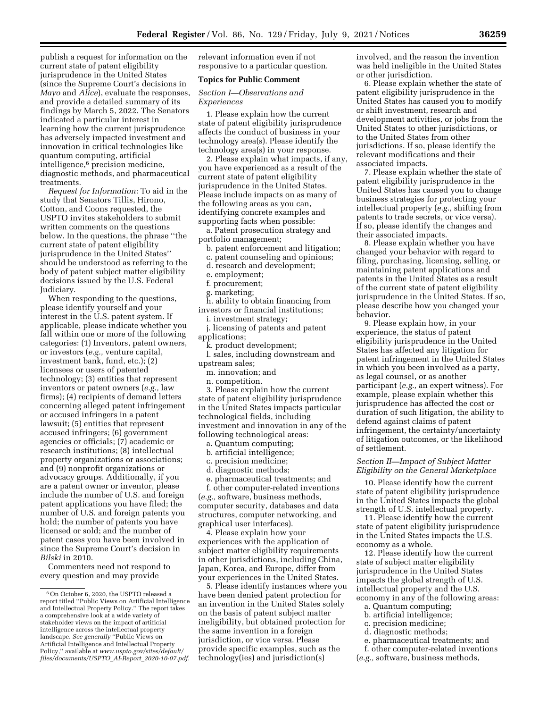publish a request for information on the current state of patent eligibility jurisprudence in the United States (since the Supreme Court's decisions in *Mayo* and *Alice*), evaluate the responses, and provide a detailed summary of its findings by March 5, 2022. The Senators indicated a particular interest in learning how the current jurisprudence has adversely impacted investment and innovation in critical technologies like quantum computing, artificial intelligence,6 precision medicine, diagnostic methods, and pharmaceutical treatments.

*Request for Information:* To aid in the study that Senators Tillis, Hirono, Cotton, and Coons requested, the USPTO invites stakeholders to submit written comments on the questions below. In the questions, the phrase ''the current state of patent eligibility jurisprudence in the United States'' should be understood as referring to the body of patent subject matter eligibility decisions issued by the U.S. Federal Judiciary.

When responding to the questions, please identify yourself and your interest in the U.S. patent system. If applicable, please indicate whether you fall within one or more of the following categories: (1) Inventors, patent owners, or investors (*e.g.,* venture capital, investment bank, fund, etc.); (2) licensees or users of patented technology; (3) entities that represent inventors or patent owners (*e.g.,* law firms); (4) recipients of demand letters concerning alleged patent infringement or accused infringers in a patent lawsuit; (5) entities that represent accused infringers; (6) government agencies or officials; (7) academic or research institutions; (8) intellectual property organizations or associations; and (9) nonprofit organizations or advocacy groups. Additionally, if you are a patent owner or inventor, please include the number of U.S. and foreign patent applications you have filed; the number of U.S. and foreign patents you hold; the number of patents you have licensed or sold; and the number of patent cases you have been involved in since the Supreme Court's decision in *Bilski* in 2010.

Commenters need not respond to every question and may provide

relevant information even if not responsive to a particular question.

# **Topics for Public Comment**

# *Section I—Observations and Experiences*

1. Please explain how the current state of patent eligibility jurisprudence affects the conduct of business in your technology area(s). Please identify the technology area(s) in your response.

2. Please explain what impacts, if any, you have experienced as a result of the current state of patent eligibility jurisprudence in the United States. Please include impacts on as many of the following areas as you can, identifying concrete examples and supporting facts when possible:

a. Patent prosecution strategy and portfolio management;

- b. patent enforcement and litigation;
- c. patent counseling and opinions;
- d. research and development;
- e. employment;
- f. procurement;
- g. marketing;
- h. ability to obtain financing from investors or financial institutions;
	- i. investment strategy;
- j. licensing of patents and patent applications;
	- k. product development;
- l. sales, including downstream and upstream sales;
	- m. innovation; and
	- n. competition.

3. Please explain how the current state of patent eligibility jurisprudence in the United States impacts particular technological fields, including investment and innovation in any of the following technological areas:

- a. Quantum computing;
- b. artificial intelligence;
- c. precision medicine;
- d. diagnostic methods;
- e. pharmaceutical treatments; and

f. other computer-related inventions (*e.g.,* software, business methods, computer security, databases and data structures, computer networking, and graphical user interfaces).

4. Please explain how your experiences with the application of subject matter eligibility requirements in other jurisdictions, including China, Japan, Korea, and Europe, differ from your experiences in the United States.

5. Please identify instances where you have been denied patent protection for an invention in the United States solely on the basis of patent subject matter ineligibility, but obtained protection for the same invention in a foreign jurisdiction, or vice versa. Please provide specific examples, such as the technology(ies) and jurisdiction(s)

involved, and the reason the invention was held ineligible in the United States or other jurisdiction.

6. Please explain whether the state of patent eligibility jurisprudence in the United States has caused you to modify or shift investment, research and development activities, or jobs from the United States to other jurisdictions, or to the United States from other jurisdictions. If so, please identify the relevant modifications and their associated impacts.

7. Please explain whether the state of patent eligibility jurisprudence in the United States has caused you to change business strategies for protecting your intellectual property (*e.g.,* shifting from patents to trade secrets, or vice versa). If so, please identify the changes and their associated impacts.

8. Please explain whether you have changed your behavior with regard to filing, purchasing, licensing, selling, or maintaining patent applications and patents in the United States as a result of the current state of patent eligibility jurisprudence in the United States. If so, please describe how you changed your behavior.

9. Please explain how, in your experience, the status of patent eligibility jurisprudence in the United States has affected any litigation for patent infringement in the United States in which you been involved as a party, as legal counsel, or as another participant (*e.g.,* an expert witness). For example, please explain whether this jurisprudence has affected the cost or duration of such litigation, the ability to defend against claims of patent infringement, the certainty/uncertainty of litigation outcomes, or the likelihood of settlement.

### *Section II—Impact of Subject Matter Eligibility on the General Marketplace*

10. Please identify how the current state of patent eligibility jurisprudence in the United States impacts the global strength of U.S. intellectual property.

11. Please identify how the current state of patent eligibility jurisprudence in the United States impacts the U.S. economy as a whole.

12. Please identify how the current state of subject matter eligibility jurisprudence in the United States impacts the global strength of U.S. intellectual property and the U.S.

- economy in any of the following areas: a. Quantum computing;
	- b. artificial intelligence;
	- c. precision medicine;
	- d. diagnostic methods;
	- e. pharmaceutical treatments; and
	- f. other computer-related inventions
- (*e.g.,* software, business methods,

<sup>6</sup>On October 6, 2020, the USPTO released a report titled ''Public Views on Artificial Intelligence and Intellectual Property Policy.'' The report takes a comprehensive look at a wide variety of stakeholder views on the impact of artificial intelligence across the intellectual property landscape. *See generally* ''Public Views on Artificial Intelligence and Intellectual Property Policy,'' available at *[www.uspto.gov/sites/default/](http://www.uspto.gov/sites/default/files/documents/USPTO_AI-Report_2020-10-07.pdf) [files/documents/USPTO](http://www.uspto.gov/sites/default/files/documents/USPTO_AI-Report_2020-10-07.pdf)*\_*AI-Report*\_*2020-10-07.pdf.*